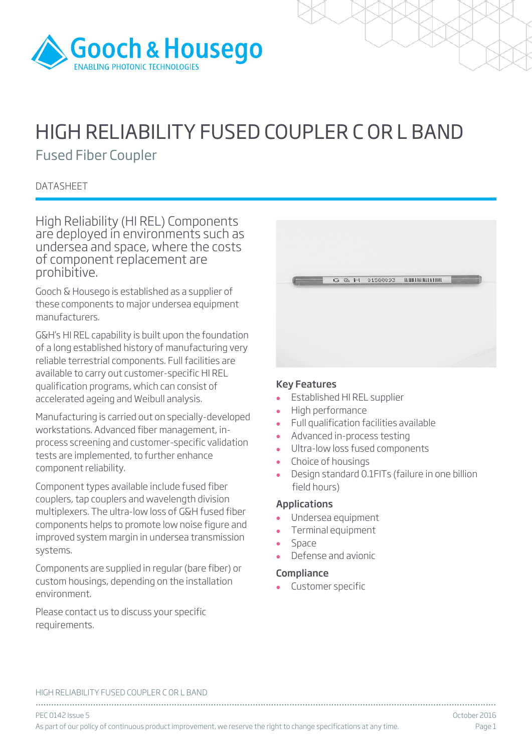

# HIGH RELIABILITY FUSED COUPLER C OR L BAND

Fused Fiber Coupler

# **DATASHEET**

High Reliability (HI REL) Components are deployed in environments such as undersea and space, where the costs of component replacement are prohibitive.

Gooch & Housego is established as a supplier of these components to major undersea equipment manufacturers.

G&H's HI REL capability is built upon the foundation of a long established history of manufacturing very reliable terrestrial components. Full facilities are available to carry out customer-specific HI REL qualification programs, which can consist of accelerated ageing and Weibull analysis.

Manufacturing is carried out on specially-developed workstations. Advanced fiber management, inprocess screening and customer-specific validation tests are implemented, to further enhance component reliability.

Component types available include fused fiber couplers, tap couplers and wavelength division multiplexers. The ultra-low loss of G&H fused fiber components helps to promote low noise figure and improved system margin in undersea transmission systems.

Components are supplied in regular (bare fiber) or custom housings, depending on the installation environment.

Please contact us to discuss your specific requirements.

|  | G & H 01588093 MMHMMMMMM |  |
|--|--------------------------|--|
|  |                          |  |
|  |                          |  |

### Key Features

- Established HI REL supplier
- High performance
- Full qualification facilities available
- Advanced in-process testing
- Ultra-low loss fused components
- Choice of housings<br>• Design standard  $\Omega$
- Design standard 0.1FITs (failure in one billion field hours)

## Applications

- Undersea equipment
- Terminal equipment
- Space
- Defense and avionic

## **Compliance**

Customer specific

#### HIGH RELIABILITY FUSED COUPLER C OR L BAND

................................................................................................................................................................................ PEC 0142 Issue 5 October 2016 As part of our policy of continuous product improvement, we reserve the right to change specifications at any time. Page 1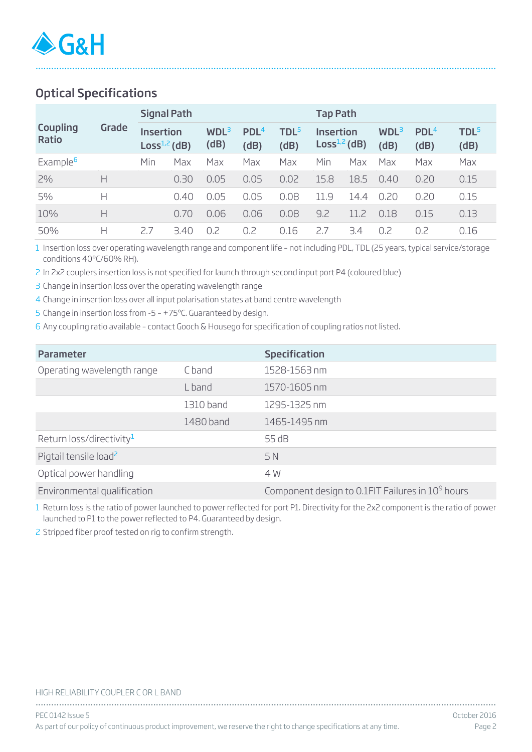# Optical Specifications

|                          |       | <b>Signal Path</b>                     |      |                 |                          |                          | <b>Tap Path</b>                    |      |                          |                          |                          |  |
|--------------------------|-------|----------------------------------------|------|-----------------|--------------------------|--------------------------|------------------------------------|------|--------------------------|--------------------------|--------------------------|--|
| Coupling<br><b>Ratio</b> | Grade | <b>Insertion</b><br>Loss $^{1,2}$ (dB) |      | $WDL^3$<br>(dB) | PDL <sup>4</sup><br>(dB) | TDL <sup>5</sup><br>(dB) | <b>Insertion</b><br>$Loss1,2$ (dB) |      | WDL <sup>3</sup><br>(dB) | PDL <sup>4</sup><br>(dB) | TDL <sup>5</sup><br>(dB) |  |
| Example <sup>6</sup>     |       | Min                                    | Max  | Max             | Max                      | Max                      | Min                                | Max  | Max                      | Max                      | Max                      |  |
| 2%                       | Н     |                                        | 0.30 | 0.05            | 0.05                     | 0.02                     | 15.8                               | 18.5 | 0.40                     | 0.20                     | 0.15                     |  |
| 5%                       | Н     |                                        | 0.40 | 0.05            | 0.05                     | 0.08                     | 11.9                               | 14.4 | 0.20                     | 0.20                     | 0.15                     |  |
| 10%                      | Н     |                                        | 0.70 | 0.06            | 0.06                     | 0.08                     | 9.2                                | 11.7 | 0.18                     | 0.15                     | 0.13                     |  |
| 50%                      | Н     | 2.7                                    | 3.40 | 0.2             | 0.2                      | 0.16                     | 7.7                                | 3.4  | 0.2                      | 0.2                      | 0.16                     |  |

................................................................................................................................................................................

1 Insertion loss over operating wavelength range and component life – not including PDL, TDL (25 years, typical service/storage conditions 40°C/60% RH).

2 In 2x2 couplers insertion loss is not specified for launch through second input port P4 (coloured blue)

3 Change in insertion loss over the operating wavelength range

4 Change in insertion loss over all input polarisation states at band centre wavelength

5 Change in insertion loss from -5 – +75ºC. Guaranteed by design.

6 Any coupling ratio available – contact Gooch & Housego for specification of coupling ratios not listed.

| <b>Parameter</b>                     |           | <b>Specification</b>                                         |
|--------------------------------------|-----------|--------------------------------------------------------------|
| Operating wavelength range           | C band    | 1528-1563 nm                                                 |
|                                      | L band    | 1570-1605 nm                                                 |
|                                      | 1310 band | 1295-1325 nm                                                 |
|                                      | 1480 band | 1465-1495 nm                                                 |
| Return loss/directivity <sup>1</sup> |           | 55 dB                                                        |
| Pigtail tensile load <sup>2</sup>    |           | 5N                                                           |
| Optical power handling               |           | 4 W                                                          |
| Environmental qualification          |           | Component design to 0.1FIT Failures in 10 <sup>9</sup> hours |

1 Return loss is the ratio of power launched to power reflected for port P1. Directivity for the 2x2 component is the ratio of power launched to P1 to the power reflected to P4. Guaranteed by design.

2 Stripped fiber proof tested on rig to confirm strength.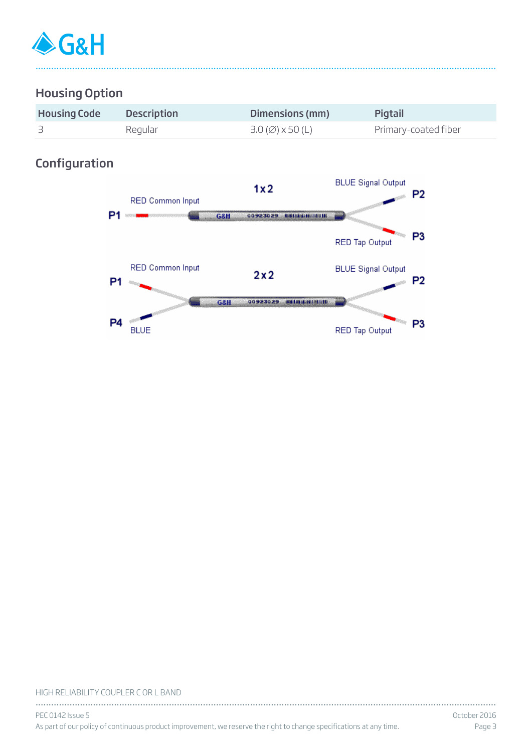

# Housing Option

| <b>Housing Code</b> | <b>Description</b> | Dimensions (mm)                                | Pigtail              |
|---------------------|--------------------|------------------------------------------------|----------------------|
|                     | Regular            | $3.0 \, (\emptyset) \times 50 \, (\mathsf{L})$ | Primary-coated fiber |

................................................................................................................................................................................

# Configuration



#### HIGH RELIABILITY COUPLER C OR L BAND